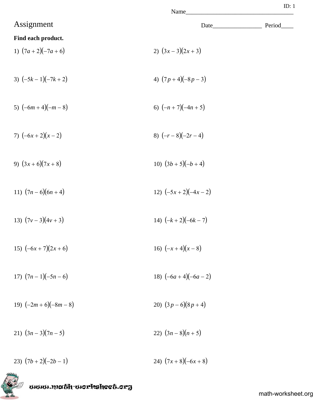| Name               |       | ID: 1  |
|--------------------|-------|--------|
|                    | Date_ | Period |
| 2) $(3x-3)(2x+3)$  |       |        |
| 4) $(7p+4)(-8p-3)$ |       |        |

- 5)  $(-6m+4)(-m-8)$  6)  $(-n+7)(-4n+5)$
- 7)  $(-6x+2)(x-2)$  8)  $(-r-8)(-2r-4)$
- 9)  $(3x+6)(7x+8)$  10)  $(3b+5)(-b+4)$
- 11)  $(7n-6)(6n+4)$ <br>12)  $(-5x+2)(-4x-2)$
- 13)  $(7v-3)(4v+3)$ <br>14)  $(-k+2)(-6k-7)$
- 15)  $(-6x + 7)(2x + 6)$ <br>16)  $(-x + 4)(x 8)$
- 17)  $(7n-1)(-5n-6)$ <br>18)  $(-6a+4)(-6a-2)$
- 19)  $(-2m+6)(-8m-8)$ <br>20)  $(3p-6)(8p+4)$
- 21)  $(3n-3)(7n-5)$ <br>22)  $(3n-8)(n+5)$
- 23)  $(7b+2)(-2b-1)$ <br>24)  $(7x+8)(-6x+8)$



Assignment

**Find each product.**

1)  $(7a + 2)(-7a + 6)$ 

3)  $(-5k - 1)(-7k + 2)$ 

mmmmach-morksheet.org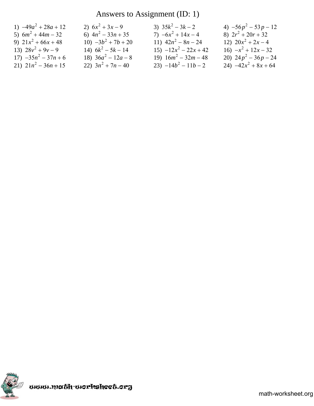# Answers to Assignment (ID: 1)

| 1) $-49a^2 + 28a + 12$ | 2) $6x^2 + 3x - 9$    | 3) $35k^2 - 3k - 2$     | 4) $-56p^2 - 53p - 12$ |
|------------------------|-----------------------|-------------------------|------------------------|
| 5) $6m^2 + 44m - 32$   | 6) $4n^2 - 33n + 35$  | 7) $-6x^2 + 14x - 4$    | 8) $2r^2 + 20r + 32$   |
| 9) $21x^2 + 66x + 48$  | 10) $-3b^2 + 7b + 20$ | 11) $42n^2 - 8n - 24$   | 12) $20x^2 + 2x - 4$   |
| 13) $28v^2 + 9v - 9$   | 14) $6k^2 - 5k - 14$  | $15) -12x^2 - 22x + 42$ | 16) $-x^2 + 12x - 32$  |
| $17) -35n^2 - 37n + 6$ | 18) $36a^2 - 12a - 8$ | 19) $16m^2 - 32m - 48$  | 20) $24p^2 - 36p - 24$ |
| 21) $21n^2 - 36n + 15$ | 22) $3n^2 + 7n - 40$  | 23) $-14b^2 - 11b - 2$  | 24) $-42x^2 + 8x + 64$ |

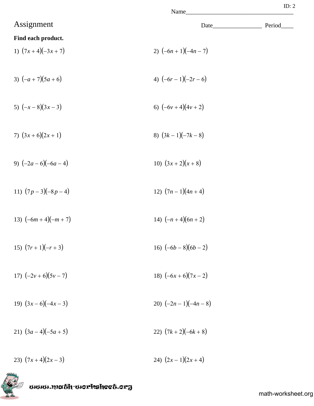| N | ame |  |
|---|-----|--|
|   |     |  |

|                     | Name                 |        |
|---------------------|----------------------|--------|
| Assignment          | Date_                | Period |
| Find each product.  |                      |        |
| 1) $(7x+4)(-3x+7)$  | 2) $(-6n+1)(-4n-7)$  |        |
| 3) $(-a+7)(5a+6)$   | 4) $(-6r-1)(-2r-6)$  |        |
| 5) $(-x-8)(3x-3)$   | 6) $(-6v+4)(4v+2)$   |        |
| 7) $(3x+6)(2x+1)$   | 8) $(3k-1)(-7k-8)$   |        |
| 9) $(-2a-6)(-6a-4)$ | 10) $(3x+2)(x+8)$    |        |
| 11) $(7p-3)(-8p-4)$ | 12) $(7n-1)(4n+4)$   |        |
| 13) $(-6m+4)(-m+7)$ | 14) $(-n+4)(6n+2)$   |        |
| 15) $(7r+1)(-r+3)$  | 16) $(-6b-8)(6b-2)$  |        |
| 17) $(-2v+6)(5v-7)$ | 18) $(-6x+6)(7x-2)$  |        |
| 19) $(3x-6)(-4x-3)$ | 20) $(-2n-1)(-4n-8)$ |        |
| 21) $(3a-4)(-5a+5)$ | 22) $(7k+2)(-6k+8)$  |        |
| 23) $(7x+4)(2x-3)$  | 24) $(2x-1)(2x+4)$   |        |



math-worksheet.org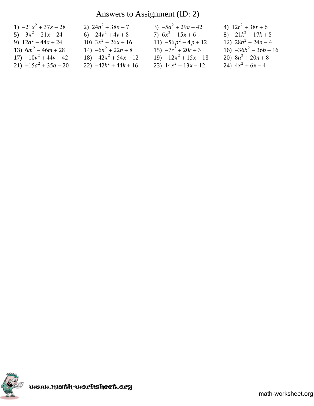## Answers to Assignment (ID: 2)

| 1) $-21x^2 + 37x + 28$  | 2) $24n^2 + 38n - 7$    | 3) $-5a^2 + 29a + 42$   | 4) $12r^2 + 38r + 6$    |
|-------------------------|-------------------------|-------------------------|-------------------------|
| $5) -3x^2 - 21x + 24$   | 6) $-24v^2 + 4v + 8$    | 7) $6x^2 + 15x + 6$     | 8) $-21k^2 - 17k + 8$   |
| 9) $12a^2 + 44a + 24$   | 10) $3x^2 + 26x + 16$   | 11) $-56p^2 - 4p + 12$  | 12) $28n^2 + 24n - 4$   |
| 13) $6m^2 - 46m + 28$   | 14) $-6n^2 + 22n + 8$   | $15) -7r^2 + 20r + 3$   | 16) $-36b^2 - 36b + 16$ |
| $17) -10y^2 + 44y - 42$ | 18) $-42x^2 + 54x - 12$ | $19) -12x^2 + 15x + 18$ | 20) $8n^2 + 20n + 8$    |
| 21) $-15a^2 + 35a - 20$ | 22) $-42k^2 + 44k + 16$ | 23) $14x^2 - 13x - 12$  | 24) $4x^2 + 6x - 4$     |

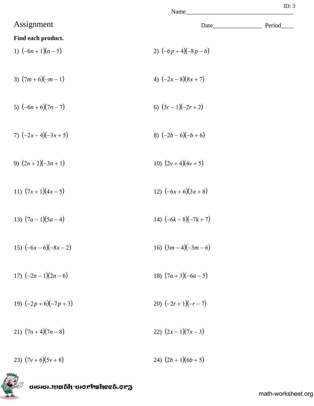| Name |  |
|------|--|

|                      | Name                 |        |
|----------------------|----------------------|--------|
| Assignment           | Date_                | Period |
| Find each product.   |                      |        |
| 1) $(-6n+1)(n-5)$    | 2) $(-6p+4)(-8p-6)$  |        |
| 3) $(7m+6)(-m-1)$    | 4) $(-2x-8)(8x+7)$   |        |
| 5) $(-6n+6)(7n-7)$   | 6) $(3r-1)(-2r+2)$   |        |
| 7) $(-2x-4)(-3x+5)$  | 8) $(-2b-6)(-b+6)$   |        |
| 9) $(2n+2)(-3n+1)$   | 10) $(2v+4)(4v+5)$   |        |
| 11) $(7x+1)(4x-5)$   | 12) $(-6x+6)(3x+8)$  |        |
| 13) $(7a-1)(5a-4)$   | 14) $(-6k-8)(-7k+7)$ |        |
| 15) $(-6x-6)(-8x-2)$ | 16) $(3m-4)(-3m-6)$  |        |
| 17) $(-2n-1)(2n-6)$  | 18) $(7a+3)(-6a-5)$  |        |
| 19) $(-2p+6)(-7p+3)$ | 20) $(-2r+1)(-r-7)$  |        |
| 21) $(7n+4)(7n-8)$   | 22) $(2x-1)(7x-3)$   |        |
| 23) $(7v+6)(5v+8)$   | 24) $(2b+1)(6b+5)$   |        |

uuun.math-uorksheet.org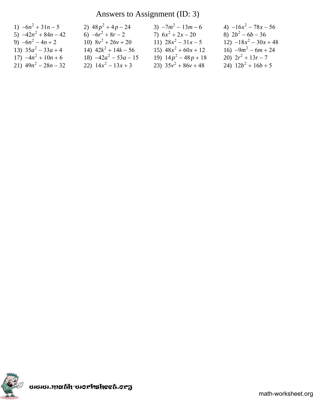## Answers to Assignment (ID: 3)

| 1) $-6n^2 + 31n - 5$   | 2) $48p^2 + 4p - 24$    | $3) -7m^2 - 13m - 6$   | 4) $-16x^2 - 78x - 56$  |
|------------------------|-------------------------|------------------------|-------------------------|
| 5) $-42n^2 + 84n - 42$ | 6) $-6r^2 + 8r - 2$     | 7) $6x^2 + 2x - 20$    | 8) $2b^2 - 6b - 36$     |
| 9) $-6n^2 - 4n + 2$    | 10) $8v^2 + 26v + 20$   | 11) $28x^2 - 31x - 5$  | $12) -18x^2 - 30x + 48$ |
| 13) $35a^2 - 33a + 4$  | 14) $42k^2 + 14k - 56$  | 15) $48x^2 + 60x + 12$ | 16) $-9m^2 - 6m + 24$   |
| 17) $-4n^2 + 10n + 6$  | 18) $-42a^2 - 53a - 15$ | 19) $14p^2 - 48p + 18$ | 20) $2r^2 + 13r - 7$    |
| 21) $49n^2 - 28n - 32$ | 22) $14x^2 - 13x + 3$   | 23) $35v^2 + 86v + 48$ | 24) $12b^2 + 16b + 5$   |

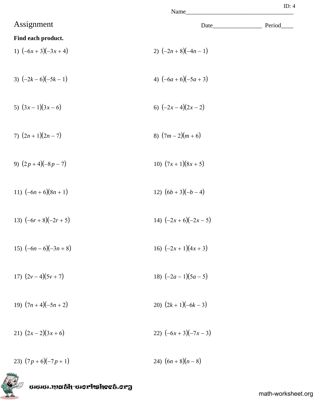| Jame |  |
|------|--|

|                          | Name                 |        |
|--------------------------|----------------------|--------|
| Assignment               |                      | Period |
| Find each product.       |                      |        |
| 1) $(-6x+3)(-3x+4)$      | 2) $(-2n+8)(-4n-1)$  |        |
| 3) $(-2k-6)(-5k-1)$      | 4) $(-6a+6)(-5a+3)$  |        |
| 5) $(3x-1)(3x-6)$        | 6) $(-2x-4)(2x-2)$   |        |
| 7) $(2n+1)(2n-7)$        | 8) $(7m-2)(m+6)$     |        |
| 9) $(2p+4)(-8p-7)$       | 10) $(7x+1)(8x+5)$   |        |
| 11) $(-6n+6)(8n+1)$      | 12) $(6b+3)(-b-4)$   |        |
| 13) $(-6r+8)(-2r+5)$     | 14) $(-2x+6)(-2x-5)$ |        |
| 15) $(-6n - 6)(-3n + 8)$ | 16) $(-2x+1)(4x+3)$  |        |
| 17) $(2v-4)(5v+7)$       | 18) $(-2a-1)(5a-5)$  |        |
| 19) $(7n+4)(-5n+2)$      | 20) $(2k+1)(-6k-3)$  |        |
| 21) $(2x-2)(3x+6)$       | 22) $(-6x+3)(-7x-3)$ |        |
| 23) $(7p+6)(-7p+1)$      | 24) $(6n+8)(n-8)$    |        |

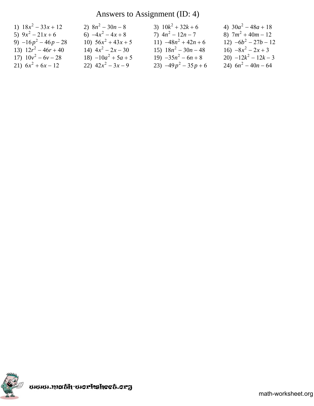# Answers to Assignment (ID: 4)

| 1) $18x^2 - 33x + 12$  | 2) $8n^2 - 30n - 8$    | 3) $10k^2 + 32k + 6$   | 4) $30a^2 - 48a + 18$  |
|------------------------|------------------------|------------------------|------------------------|
| 5) $9x^2 - 21x + 6$    | 6) $-4x^2-4x+8$        | 7) $4n^2 - 12n - 7$    | 8) $7m^2 + 40m - 12$   |
| 9) $-16p^2 - 46p - 28$ | 10) $56x^2 + 43x + 5$  | 11) $-48n^2 + 42n + 6$ | $12) -6b^2 - 27b - 12$ |
| 13) $12r^2 - 46r + 40$ | 14) $4x^2 - 2x - 30$   | 15) $18n^2 - 30n - 48$ | 16) $-8x^2 - 2x + 3$   |
| 17) $10v^2 - 6v - 28$  | $18) - 10a^2 + 5a + 5$ | 19) $-35n^2 - 6n + 8$  | 20) $-12k^2 - 12k - 3$ |
| 21) $6x^2 + 6x - 12$   | 22) $42x^2 - 3x - 9$   | 23) $-49p^2 - 35p + 6$ | 24) $6n^2 - 40n - 64$  |

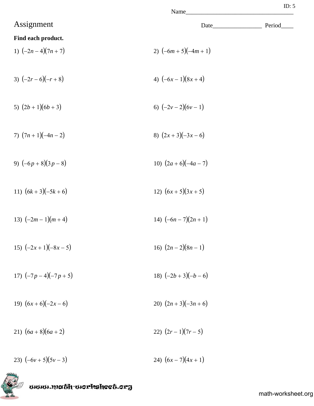| Vame |  |
|------|--|
|      |  |

| Name                 |                         |        |
|----------------------|-------------------------|--------|
| Assignment           | Date                    | Period |
| Find each product.   |                         |        |
| 1) $(-2n-4)(7n+7)$   | 2) $(-6m + 5)(-4m + 1)$ |        |
| 3) $(-2r-6)(-r+8)$   | 4) $(-6x-1)(8x+4)$      |        |
| 5) $(2b+1)(6b+3)$    | 6) $(-2v-2)(6v-1)$      |        |
| 7) $(7n+1)(-4n-2)$   | 8) $(2x+3)(-3x-6)$      |        |
| 9) $(-6p+8)(3p-8)$   | 10) $(2a+6)(-4a-7)$     |        |
| 11) $(6k+3)(-5k+6)$  | 12) $(6x+5)(3x+5)$      |        |
| 13) $(-2m-1)(m+4)$   | 14) $(-6n - 7)(2n + 1)$ |        |
| 15) $(-2x+1)(-8x-5)$ | 16) $(2n-2)(8n-1)$      |        |
| 17) $(-7p-4)(-7p+5)$ | 18) $(-2b+3)(-b-6)$     |        |
| 19) $(6x+6)(-2x-6)$  | 20) $(2n+3)(-3n+6)$     |        |
| 21) $(6a+8)(6a+2)$   | 22) $(2r-1)(7r-5)$      |        |
| 23) $(-6v+5)(5v-3)$  | 24) $(6x-7)(4x+1)$      |        |

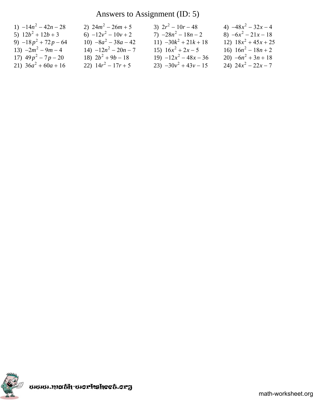## Answers to Assignment (ID: 5)

| 1) $-14n^2 - 42n - 28$ | 2) $24m^2 - 26m + 5$   | 3) $2r^2 - 10r - 48$    | 4) $-48x^2 - 32x - 4$  |
|------------------------|------------------------|-------------------------|------------------------|
| 5) $12b^2 + 12b + 3$   | 6) $-12y^2 - 10y + 2$  | 7) $-28n^2 - 18n - 2$   | 8) $-6x^2 - 21x - 18$  |
| 9) $-18p^2 + 72p - 64$ | 10) $-8a^2 - 38a - 42$ | 11) $-30k^2 + 21k + 18$ | 12) $18x^2 + 45x + 25$ |
| 13) $-2m^2 - 9m - 4$   | $14) -12n^2 - 20n - 7$ | 15) $16x^2 + 2x - 5$    | 16) $16n^2 - 18n + 2$  |
| 17) $49p^2 - 7p - 20$  | 18) $2b^2 + 9b - 18$   | $19) -12x^2 - 48x - 36$ | 20) $-6n^2 + 3n + 18$  |
| 21) $36a^2 + 60a + 16$ | 22) $14r^2 - 17r + 5$  | 23) $-30y^2 + 43y - 15$ | 24) $24x^2 - 22x - 7$  |

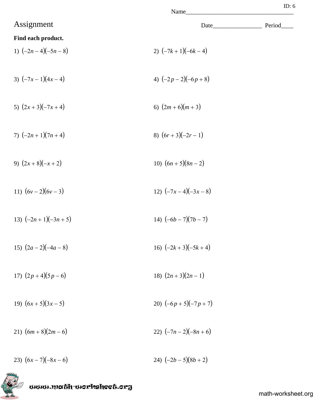| Jame |  |
|------|--|
|      |  |

|                      | Name                     |        |
|----------------------|--------------------------|--------|
| Assignment           | Date_                    | Period |
| Find each product.   |                          |        |
| 1) $(-2n-4)(-5n-8)$  | 2) $(-7k+1)(-6k-4)$      |        |
| 3) $(-7x-1)(4x-4)$   | 4) $(-2p-2)(-6p+8)$      |        |
| 5) $(2x+3)(-7x+4)$   | 6) $(2m+6)(m+3)$         |        |
| 7) $(-2n+1)(7n+4)$   | 8) $(6r+3)(-2r-1)$       |        |
| 9) $(2x+8)(-x+2)$    | 10) $(6n + 5)(8n - 2)$   |        |
| 11) $(6v-2)(6v-3)$   | 12) $(-7x-4)(-3x-8)$     |        |
| 13) $(-2n+1)(-3n+5)$ | 14) $(-6b - 7)(7b - 7)$  |        |
| 15) $(2a-2)(-4a-8)$  | 16) $(-2k+3)(-5k+4)$     |        |
| 17) $(2p+4)(5p-6)$   | 18) $(2n+3)(2n-1)$       |        |
| 19) $(6x+5)(3x-5)$   | 20) $(-6p + 5)(-7p + 7)$ |        |
| 21) $(6m+8)(2m-6)$   | 22) $(-7n-2)(-8n+6)$     |        |
| 23) $(6x-7)(-8x-6)$  | 24) $(-2b-5)(8b+2)$      |        |

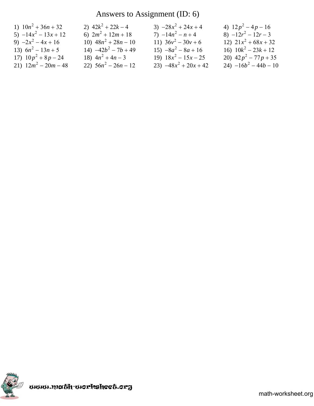## Answers to Assignment (ID: 6)

| 1) $10n^2 + 36n + 32$  | 2) $42k^2 + 22k - 4$   | 3) $-28x^2 + 24x + 4$   | 4) $12p^2-4p-16$        |
|------------------------|------------------------|-------------------------|-------------------------|
| 5) $-14x^2 - 13x + 12$ | 6) $2m^2 + 12m + 18$   | 7) $-14n^2 - n + 4$     | 8) $-12r^2 - 12r - 3$   |
| 9) $-2x^2-4x+16$       | 10) $48n^2 + 28n - 10$ | 11) $36v^2 - 30v + 6$   | 12) $21x^2 + 68x + 32$  |
| 13) $6n^2 - 13n + 5$   | 14) $-42b^2 - 7b + 49$ | $15) -8a^2 - 8a + 16$   | 16) $10k^2 - 23k + 12$  |
| 17) $10p^2 + 8p - 24$  | 18) $4n^2 + 4n - 3$    | 19) $18x^2 - 15x - 25$  | 20) $42p^2 - 77p + 35$  |
| 21) $12m^2 - 20m - 48$ | 22) $56n^2 - 26n - 12$ | 23) $-48x^2 + 20x + 42$ | 24) $-16b^2 - 44b - 10$ |

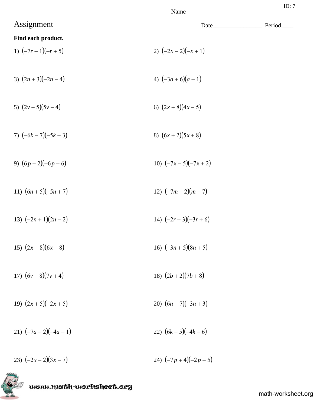|   | ame |  |
|---|-----|--|
| v |     |  |

| Assignment              | Date_                   | Period |
|-------------------------|-------------------------|--------|
| Find each product.      |                         |        |
| 1) $(-7r+1)(-r+5)$      | 2) $(-2x-2)(-x+1)$      |        |
| 3) $(2n+3)(-2n-4)$      | 4) $(-3a+6)(a+1)$       |        |
| 5) $(2v+5)(5v-4)$       | 6) $(2x+8)(4x-5)$       |        |
| 7) $(-6k - 7)(-5k + 3)$ | 8) $(6x+2)(5x+8)$       |        |
| 9) $(6p-2)(-6p+6)$      | 10) $(-7x-5)(-7x+2)$    |        |
| 11) $(6n + 5)(-5n + 7)$ | 12) $(-7m-2)(m-7)$      |        |
| 13) $(-2n+1)(2n-2)$     | 14) $(-2r+3)(-3r+6)$    |        |
| 15) $(2x-8)(6x+8)$      | 16) $(-3n+5)(8n+5)$     |        |
| 17) $(6v+8)(7v+4)$      | 18) $(2b+2)(7b+8)$      |        |
| 19) $(2x+5)(-2x+5)$     | 20) $(6n - 7)(-3n + 3)$ |        |
| 21) $(-7a-2)(-4a-1)$    | 22) $(6k - 5)(-4k - 6)$ |        |
| 23) $(-2x-2)(3x-7)$     | 24) $(-7p+4)(-2p-5)$    |        |

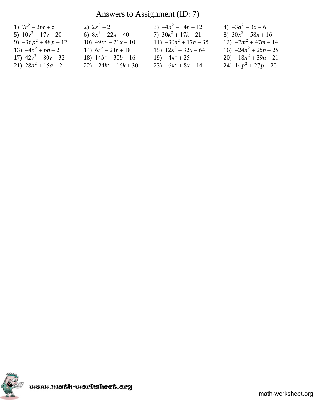## Answers to Assignment (ID: 7)

| 1) $7r^2 - 36r + 5$    | 2) $2x^2-2$             | 3) $-4n^2 - 14n - 12$   | 4) $-3a^2 + 3a + 6$     |
|------------------------|-------------------------|-------------------------|-------------------------|
| 5) $10v^2 + 17v - 20$  | 6) $8x^2 + 22x - 40$    | 7) $30k^2 + 17k - 21$   | 8) $30x^2 + 58x + 16$   |
| 9) $-36p^2 + 48p - 12$ | 10) $49x^2 + 21x - 10$  | 11) $-30n^2 + 17n + 35$ | $12) -7m^2 + 47m + 14$  |
| 13) $-4n^2 + 6n - 2$   | 14) $6r^2 - 21r + 18$   | 15) $12x^2 - 32x - 64$  | 16) $-24n^2 + 25n + 25$ |
| 17) $42v^2 + 80v + 32$ | 18) $14b^2 + 30b + 16$  | 19) $-4x^2 + 25$        | 20) $-18n^2 + 39n - 21$ |
| 21) $28a^2 + 15a + 2$  | 22) $-24k^2 - 16k + 30$ | 23) $-6x^2 + 8x + 14$   | 24) $14p^2 + 27p - 20$  |

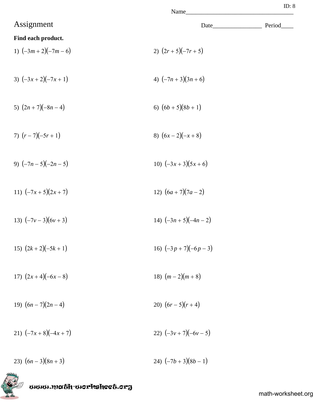|                        | Name                 | ID: $8$ |
|------------------------|----------------------|---------|
| Assignment             | Date                 | Period  |
| Find each product.     |                      |         |
| 1) $(-3m+2)(-7m-6)$    | 2) $(2r+5)(-7r+5)$   |         |
| 3) $(-3x+2)(-7x+1)$    | 4) $(-7n+3)(3n+6)$   |         |
| 5) $(2n + 7)(-8n - 4)$ | 6) $(6b+5)(8b+1)$    |         |
| 7) $(r-7)(-5r+1)$      | 8) $(6x-2)(-x+8)$    |         |
| 9) $(-7n-5)(-2n-5)$    | 10) $(-3x+3)(5x+6)$  |         |
| 11) $(-7x+5)(2x+7)$    | 12) $(6a+7)(7a-2)$   |         |
| 13) $(-7v-3)(6v+3)$    | 14) $(-3n+5)(-4n-2)$ |         |
| 15) $(2k+2)(-5k+1)$    | 16) $(-3p+7)(-6p-3)$ |         |
| 17) $(2x+4)(-6x-8)$    | 18) $(m-2)(m+8)$     |         |
| 19) $(6n - 7)(2n - 4)$ | 20) $(6r-5)(r+4)$    |         |
| 21) $(-7x+8)(-4x+7)$   | 22) $(-3v+7)(-6v-5)$ |         |

23)  $(6n-3)(8n+3)$ <br>24)  $(-7b+3)(8b-1)$ 



www.math-worksheet.org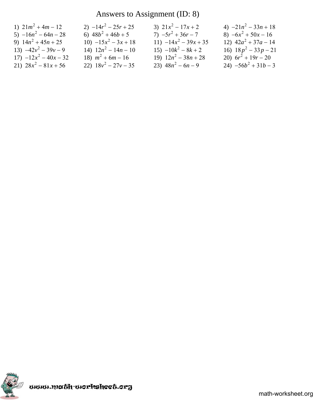## Answers to Assignment (ID: 8)

| 1) $21m^2 + 4m - 12$    | 2) $-14r^2 - 25r + 25$ | 3) $21x^2 - 17x + 2$    | 4) $-21n^2 - 33n + 18$ |
|-------------------------|------------------------|-------------------------|------------------------|
| 5) $-16n^2 - 64n - 28$  | 6) $48b^2 + 46b + 5$   | 7) $-5r^2 + 36r - 7$    | 8) $-6x^2 + 50x - 16$  |
| 9) $14n^2 + 45n + 25$   | 10) $-15x^2 - 3x + 18$ | 11) $-14x^2 - 39x + 35$ | 12) $42a^2 + 37a - 14$ |
| 13) $-42v^2 - 39v - 9$  | 14) $12n^2 - 14n - 10$ | $15) -10k^2 - 8k + 2$   | 16) $18p^2 - 33p - 21$ |
| $17) -12x^2 - 40x - 32$ | 18) $m^2 + 6m - 16$    | 19) $12n^2 - 38n + 28$  | 20) $6r^2 + 19r - 20$  |
| 21) $28x^2 - 81x + 56$  | 22) $18v^2 - 27v - 35$ | 23) $48n^2 - 6n - 9$    | 24) $-56b^2 + 31b - 3$ |

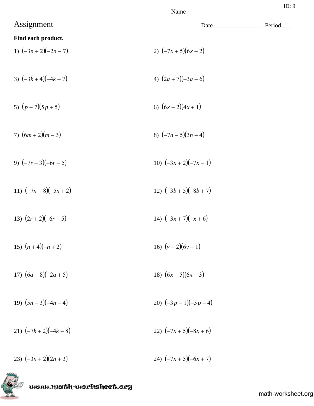|                      | Name                 | ID: 9  |
|----------------------|----------------------|--------|
| Assignment           |                      | Period |
| Find each product.   |                      |        |
| 1) $(-3n+2)(-2n-7)$  | 2) $(-7x+5)(6x-2)$   |        |
| 3) $(-3k+4)(-4k-7)$  | 4) $(2a+7)(-3a+6)$   |        |
| 5) $(p-7)(5p+5)$     | 6) $(6x-2)(4x+1)$    |        |
| 7) $(6m+2)(m-3)$     | 8) $(-7n-5)(3n+4)$   |        |
| 9) $(-7r-3)(-6r-5)$  | 10) $(-3x+2)(-7x-1)$ |        |
| 11) $(-7n-8)(-5n+2)$ | 12) $(-3b+5)(-8b+7)$ |        |
| 13) $(2r+2)(-6r+5)$  | 14) $(-3x+7)(-x+6)$  |        |
| 15) $(n+4)(-n+2)$    | 16) $(v-2)(6v+1)$    |        |
| 17) $(6a-8)(-2a+5)$  | 18) $(6x-5)(6x-3)$   |        |
| 19) $(5n-3)(-4n-4)$  | 20) $(-3p-1)(-5p+4)$ |        |
| 21) $(-7k+2)(-4k+8)$ | 22) $(-7x+5)(-8x+6)$ |        |

23)  $(-3n+2)(2n+3)$ <br>24)  $(-7x+5)(-6x+7)$ 

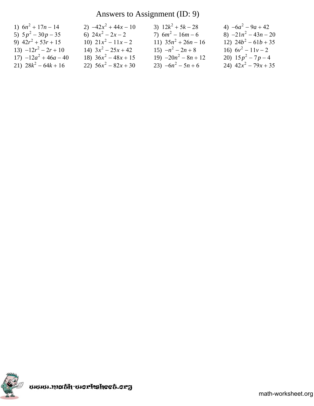## Answers to Assignment (ID: 9)

| 1) $6n^2 + 17n - 14$    | 2) $-42x^2 + 44x - 10$ | 3) $12k^2 + 5k - 28$   | 4) $-6a^2 - 9a + 42$   |
|-------------------------|------------------------|------------------------|------------------------|
| 5) $5p^2 - 30p - 35$    | 6) $24x^2 - 2x - 2$    | 7) $6m^2 - 16m - 6$    | 8) $-21n^2 - 43n - 20$ |
| 9) $42r^2 + 53r + 15$   | 10) $21x^2 - 11x - 2$  | 11) $35n^2 + 26n - 16$ | 12) $24b^2 - 61b + 35$ |
| 13) $-12r^2 - 2r + 10$  | 14) $3x^2 - 25x + 42$  | 15) $-n^2-2n+8$        | 16) $6v^2 - 11v - 2$   |
| $17) -12a^2 + 46a - 40$ | 18) $36x^2 - 48x + 15$ | 19) $-20n^2 - 8n + 12$ | 20) $15p^2 - 7p - 4$   |
| 21) $28k^2 - 64k + 16$  | 22) $56x^2 - 82x + 30$ | 23) $-6n^2 - 5n + 6$   | 24) $42x^2 - 79x + 35$ |

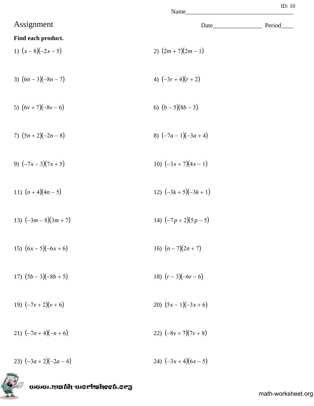| ٦ |  |
|---|--|
|---|--|

|                      |                         | 10.10  |  |
|----------------------|-------------------------|--------|--|
| Assignment           |                         | Period |  |
| Find each product.   |                         |        |  |
| 1) $(x-8)(-2x-5)$    | 2) $(2m + 7)(2m - 1)$   |        |  |
|                      |                         |        |  |
| 3) $(6n-3)(-8n-7)$   | 4) $(-3r+4)(r+2)$       |        |  |
|                      |                         |        |  |
| 5) $(6v+7)(-8v-6)$   | 6) $(b-5)(8b-3)$        |        |  |
|                      |                         |        |  |
| 7) $(5n+2)(-2n-8)$   | 8) $(-7a-1)(-3a+4)$     |        |  |
|                      |                         |        |  |
| 9) $(-7x-3)(7x+5)$   | 10) $(-3x+7)(4x-1)$     |        |  |
|                      |                         |        |  |
| 11) $(n+4)(4n-5)$    | 12) $(-3k+5)(-3k+1)$    |        |  |
|                      |                         |        |  |
| 13) $(-3m-8)(3m+7)$  | 14) $(-7p+2)(5p-5)$     |        |  |
|                      |                         |        |  |
| 15) $(6x-5)(-6x+6)$  | 16) $(n-7)(2n+7)$       |        |  |
|                      |                         |        |  |
| 17) $(5b-3)(-8b+5)$  | 18) $(r-3)(-6r-6)$      |        |  |
| 19) $(-7v+2)(v+6)$   | 20) $(5x-1)(-3x+6)$     |        |  |
|                      |                         |        |  |
| 21) $(-7n+4)(-n+6)$  | 22) $(-8v + 7)(7v + 8)$ |        |  |
|                      |                         |        |  |
| 23) $(-3a+2)(-2a-4)$ | 24) $(-3x+4)(6x-5)$     |        |  |